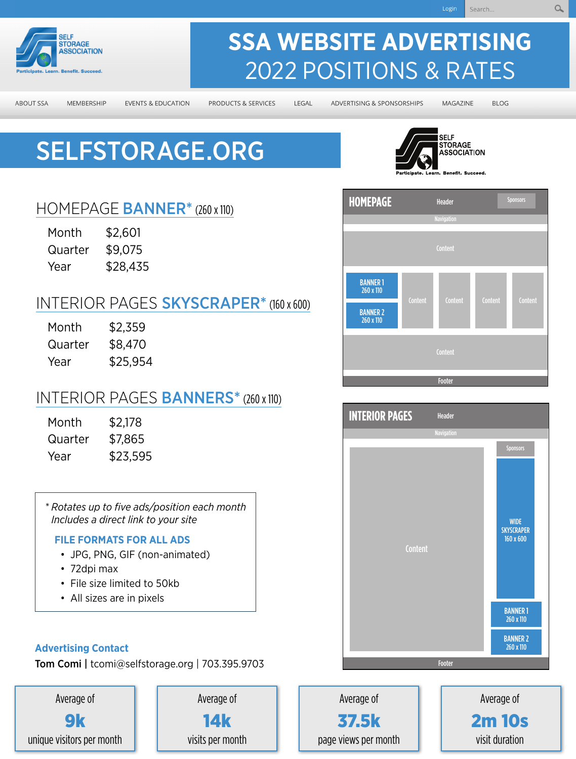

MEMBERSHIP

## **SSA WEBSITE ADVERTISING**  2022 POSITIONS & RATES

**ABOUT SSA** 

**EVENTS & EDUCATION** 

PRODUCTS & SERVICES

LEGAL

ADVERTISING & SPONSORSHIPS

MAGAZINE

**BLOG** 

Sponsor

# [SELFSTORAGE.ORG](http://selfstorage.org)



### HOMEPAGE **BANNER**\* (260 x 110)

| Month   | \$2,601  |
|---------|----------|
| Quarter | \$9,075  |
| Year    | \$28,435 |

### INTERIOR PAGES **SKYSCRAPER**\* (160 x 600)

| Month   | \$2,359  |
|---------|----------|
| Quarter | \$8,470  |
| Year    | \$25,954 |

### INTERIOR PAGES **BANNERS**\* (260 x 110)

| Month   | \$2,178  |
|---------|----------|
| Quarter | \$7,865  |
| Year    | \$23,595 |

*\* Rotates up to five ads/position each month Includes a direct link to your site*

#### **FILE FORMATS FOR ALL ADS**

- JPG, PNG, GIF (non-animated)
- 72dpi max
- File size limited to 50kb
- All sizes are in pixels

#### **Advertising Contact**

Tom Comi | [tcomi@selfstorage.org](mailto:tcomi@selfstorage.org) | 703.395.9703









Average of 37.5k page views per month

Average of 2m 10s visit duration